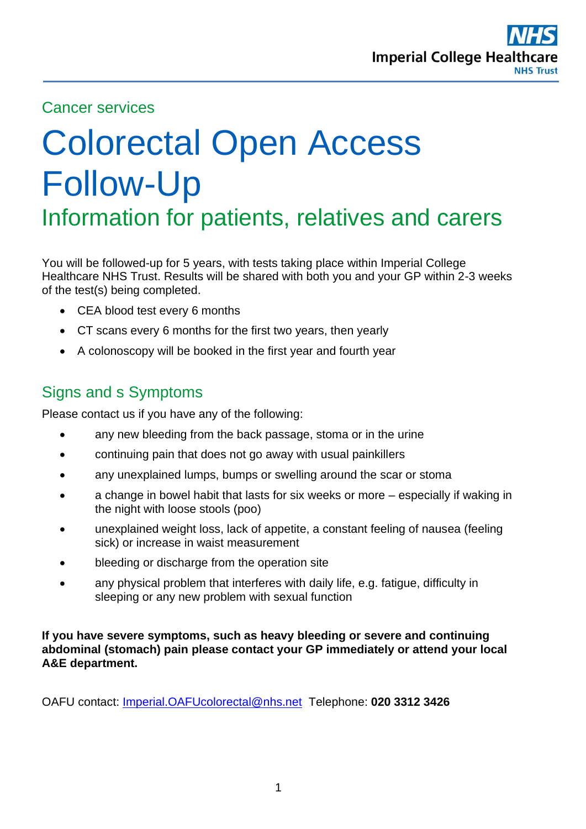

## Cancer services

# Colorectal Open Access Follow-Up Information for patients, relatives and carers

You will be followed-up for 5 years, with tests taking place within Imperial College Healthcare NHS Trust. Results will be shared with both you and your GP within 2-3 weeks of the test(s) being completed.

- CEA blood test every 6 months
- CT scans every 6 months for the first two years, then yearly
- A colonoscopy will be booked in the first year and fourth year

# Signs and s Symptoms

Please contact us if you have any of the following:

- any new bleeding from the back passage, stoma or in the urine
- continuing pain that does not go away with usual painkillers
- any unexplained lumps, bumps or swelling around the scar or stoma
- a change in bowel habit that lasts for six weeks or more especially if waking in the night with loose stools (poo)
- unexplained weight loss, lack of appetite, a constant feeling of nausea (feeling sick) or increase in waist measurement
- bleeding or discharge from the operation site
- any physical problem that interferes with daily life, e.g. fatigue, difficulty in sleeping or any new problem with sexual function

**If you have severe symptoms, such as heavy bleeding or severe and continuing abdominal (stomach) pain please contact your GP immediately or attend your local A&E department.** 

OAFU contact: [Imperial.OAFUcolorectal@nhs.net](mailto:Imperial.OAFUcolorectal@nhs.net) Telephone: **020 3312 3426**